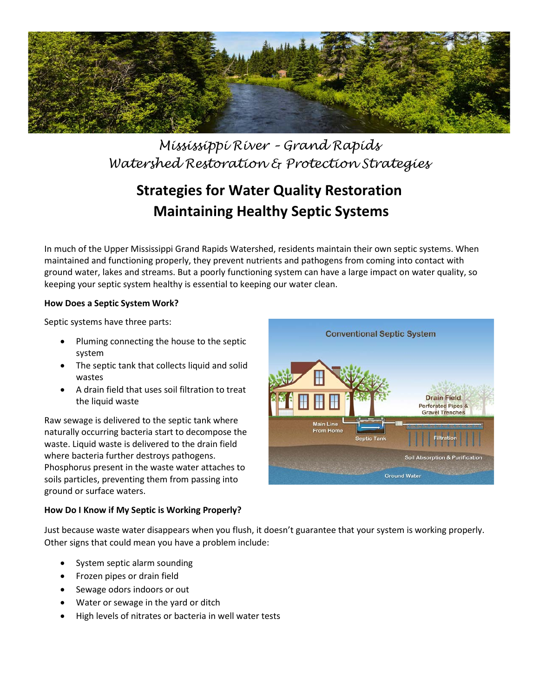

*Mississippi River – Grand Rapids Watershed Restoration & Protection Strategies*

# **Strategies for Water Quality Restoration Maintaining Healthy Septic Systems**

In much of the Upper Mississippi Grand Rapids Watershed, residents maintain their own septic systems. When maintained and functioning properly, they prevent nutrients and pathogens from coming into contact with ground water, lakes and streams. But a poorly functioning system can have a large impact on water quality, so keeping your septic system healthy is essential to keeping our water clean.

## **How Does a Septic System Work?**

Septic systems have three parts:

- Pluming connecting the house to the septic system
- The septic tank that collects liquid and solid wastes
- A drain field that uses soil filtration to treat the liquid waste

Raw sewage is delivered to the septic tank where naturally occurring bacteria start to decompose the waste. Liquid waste is delivered to the drain field where bacteria further destroys pathogens. Phosphorus present in the waste water attaches to soils particles, preventing them from passing into ground or surface waters.

# **How Do I Know if My Septic is Working Properly?**

**Conventional Septic System Drain Field Perforated Pipes &** Gravel Trenches **Main Line** From Home **Soil Absorption & Purific Ground Water** 

Just because waste water disappears when you flush, it doesn't guarantee that your system is working properly. Other signs that could mean you have a problem include:

- System septic alarm sounding
- Frozen pipes or drain field
- Sewage odors indoors or out
- Water or sewage in the yard or ditch
- High levels of nitrates or bacteria in well water tests